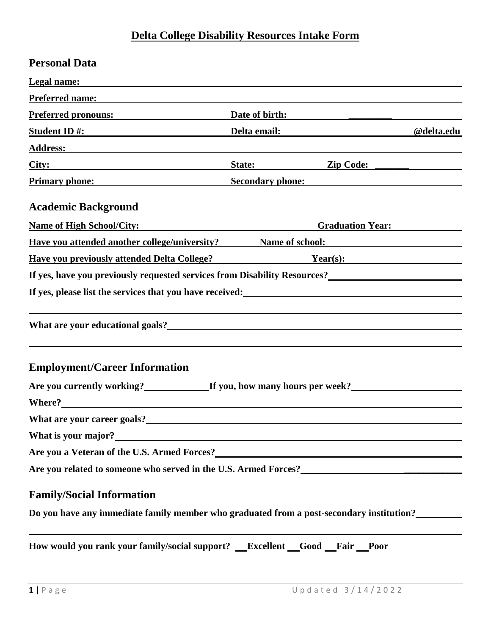## **Delta College Disability Resources Intake Form**

| <b>Personal Data</b>                                                                                                                                                                                                           |                                  |            |
|--------------------------------------------------------------------------------------------------------------------------------------------------------------------------------------------------------------------------------|----------------------------------|------------|
| <b>Legal name:</b>                                                                                                                                                                                                             |                                  |            |
| Preferred name: The contract of the contract of the contract of the contract of the contract of the contract of the contract of the contract of the contract of the contract of the contract of the contract of the contract o |                                  |            |
| Preferred pronouns:                                                                                                                                                                                                            | Date of birth:                   |            |
| Student ID #:                                                                                                                                                                                                                  | Delta email: <u>Delta email:</u> | @delta.edu |
| Address: Andress: Address: Address: Address: Address: Address: Address: Address: Address: Address: Address: Address: Address: Address: Address: Address: Address: Address: Address: Address: Address: Address: Address: Addres |                                  |            |
|                                                                                                                                                                                                                                | State: Zip Code:                 |            |
| <b>Primary phone:</b>                                                                                                                                                                                                          | <b>Secondary phone:</b>          |            |
| <b>Academic Background</b>                                                                                                                                                                                                     |                                  |            |
| <b>Name of High School/City:</b>                                                                                                                                                                                               | <b>Graduation Year:</b>          |            |
| <b>Example 18 Have you attended another college/university?</b> Name of school:                                                                                                                                                |                                  |            |
| <b>Have you previously attended Delta College?</b>                                                                                                                                                                             | $Year(s)$ :                      |            |
| If yes, have you previously requested services from Disability Resources?<br>The yes, have you previously requested services from Disability Resources?                                                                        |                                  |            |
|                                                                                                                                                                                                                                |                                  |            |
| What are your educational goals?<br><u> What are your educational goals?</u>                                                                                                                                                   |                                  |            |
| <b>Employment/Career Information</b><br>Are you currently working?<br>If you, how many hours per week?<br>                                                                                                                     |                                  |            |
|                                                                                                                                                                                                                                |                                  |            |
|                                                                                                                                                                                                                                |                                  |            |
| Are you a Veteran of the U.S. Armed Forces?<br><u>Letter and the U.S. Armed Forces</u>                                                                                                                                         |                                  |            |
| Are you related to someone who served in the U.S. Armed Forces?<br><u>Letter and the U.S. Armed Forces</u>                                                                                                                     |                                  |            |
| <b>Family/Social Information</b><br>Do you have any immediate family member who graduated from a post-secondary institution?                                                                                                   |                                  |            |

How would you rank your family/social support? **Excellent Good Fair Poor**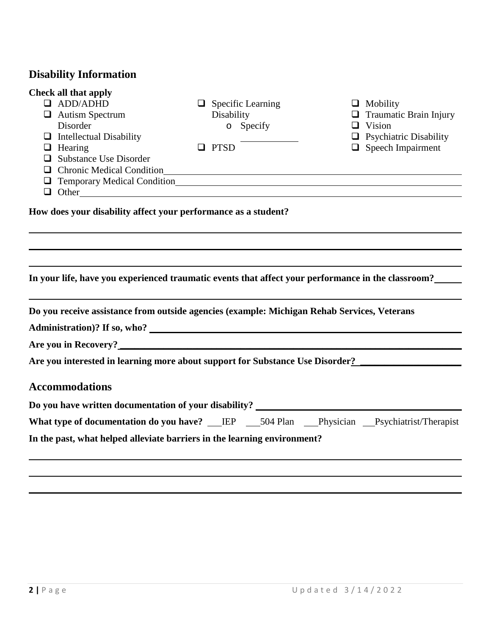## **Disability Information**

| <b>Check all that apply</b>                                    |                                                                                                                                                                                                                               |                                         |
|----------------------------------------------------------------|-------------------------------------------------------------------------------------------------------------------------------------------------------------------------------------------------------------------------------|-----------------------------------------|
| <b>ADD/ADHD</b><br>ப                                           | $\Box$ Specific Learning                                                                                                                                                                                                      | $\Box$ Mobility                         |
| $\Box$ Autism Spectrum                                         | Disability                                                                                                                                                                                                                    | Traumatic Brain Injury<br>⊔             |
| Disorder                                                       | o Specify                                                                                                                                                                                                                     | Vision<br>$\Box$                        |
| <b>Intellectual Disability</b><br>$\Box$                       |                                                                                                                                                                                                                               | <b>Psychiatric Disability</b><br>$\Box$ |
| Hearing<br>⊔                                                   | $\Box$ PTSD                                                                                                                                                                                                                   | $\Box$ Speech Impairment                |
| <b>Substance Use Disorder</b>                                  |                                                                                                                                                                                                                               |                                         |
| $\Box$                                                         | Chronic Medical Condition                                                                                                                                                                                                     |                                         |
|                                                                |                                                                                                                                                                                                                               |                                         |
| ❏                                                              | Other contains the contact of the contact of the contact of the contact of the contact of the contact of the contact of the contact of the contact of the contact of the contact of the contact of the contact of the contact |                                         |
| How does your disability affect your performance as a student? | In your life, have you experienced traumatic events that affect your performance in the classroom?__                                                                                                                          |                                         |
|                                                                | Do you receive assistance from outside agencies (example: Michigan Rehab Services, Veterans                                                                                                                                   |                                         |
|                                                                |                                                                                                                                                                                                                               |                                         |
|                                                                |                                                                                                                                                                                                                               |                                         |
|                                                                | Are you interested in learning more about support for Substance Use Disorder?                                                                                                                                                 |                                         |
| <b>Accommodations</b>                                          |                                                                                                                                                                                                                               |                                         |
|                                                                | Do you have written documentation of your disability? __________________________                                                                                                                                              |                                         |
|                                                                | What type of documentation do you have? __IEP __504 Plan __Physician __Psychiatrist/Therapist                                                                                                                                 |                                         |

**In the past, what helped alleviate barriers in the learning environment?**